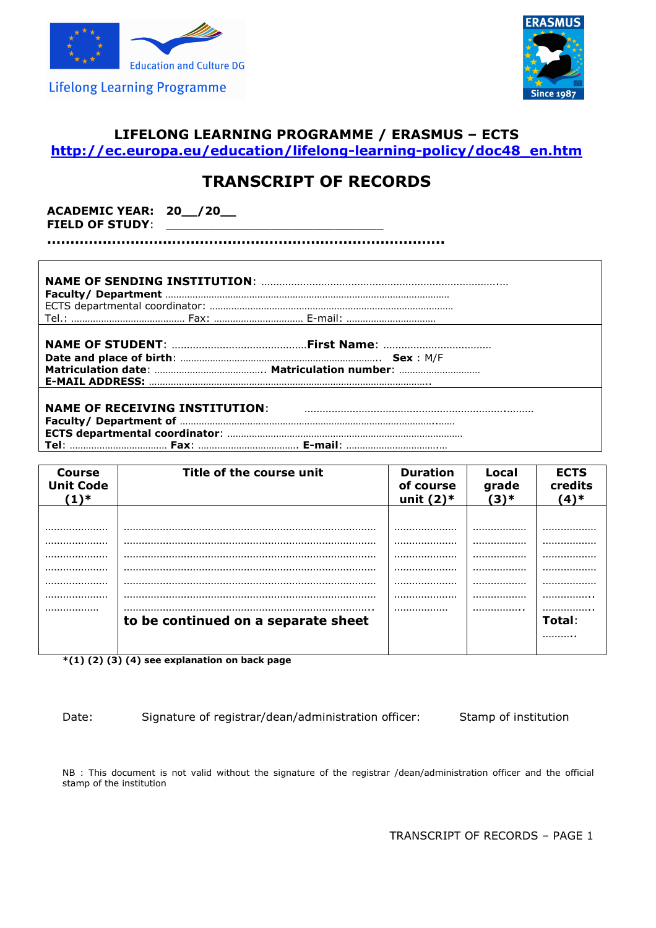



## **LIFELONG LEARNING PROGRAMME / ERASMUS – ECTS http://ec.europa.eu/education/lifelong-learning-policy/doc48\_en.htm**

# **TRANSCRIPT OF RECORDS**

**ACADEMIC YEAR: 20\_\_/20\_\_**  FIELD OF STUDY: \_

**…………………………………………………………………………..**

| <b>NAME OF CTUDENT.</b> | $Eirst$ Name: |
|-------------------------|---------------|

**NAME OF RECEIVING INSTITUTION**: ………………………………………………………….……… **Faculty/ Department of** …………………………………………………………………………………..…… **ECTS departmental coordinator**: …………………………………………………………………………… **Tel**: ……………………………… **Fax**: ………………………………. **E-mail**: …………………………….…

| <b>Course</b><br><b>Unit Code</b><br>$(1)^*$ | Title of the course unit            | <b>Duration</b><br>of course<br>unit $(2)$ * | Local<br>grade<br>(3)* | <b>ECTS</b><br>credits<br>$(4)^*$ |
|----------------------------------------------|-------------------------------------|----------------------------------------------|------------------------|-----------------------------------|
|                                              |                                     |                                              |                        |                                   |
|                                              |                                     |                                              |                        |                                   |
|                                              |                                     |                                              |                        |                                   |
|                                              |                                     |                                              |                        |                                   |
|                                              |                                     |                                              |                        |                                   |
|                                              |                                     |                                              |                        |                                   |
|                                              |                                     |                                              |                        |                                   |
|                                              |                                     |                                              |                        |                                   |
|                                              | to be continued on a separate sheet |                                              |                        | Total:                            |
|                                              |                                     |                                              |                        |                                   |
|                                              |                                     |                                              |                        |                                   |

**\*(1) (2) (3) (4) see explanation on back page** 

Date: Signature of registrar/dean/administration officer: Stamp of institution

NB : This document is not valid without the signature of the registrar /dean/administration officer and the official stamp of the institution

TRANSCRIPT OF RECORDS – PAGE 1